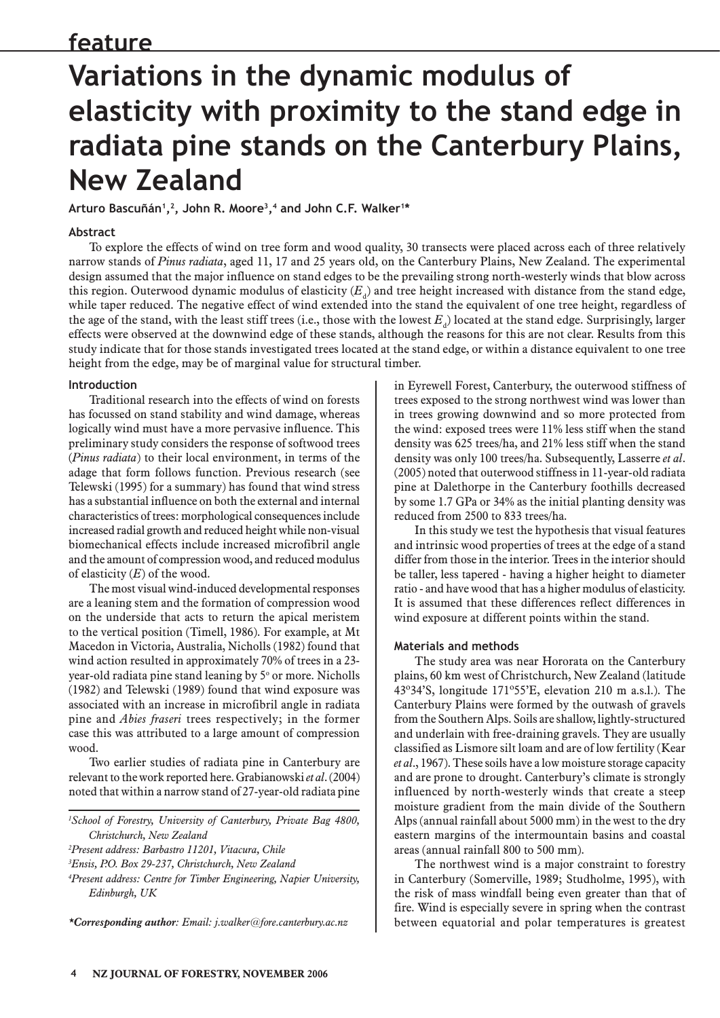# **feature**

# **Variations in the dynamic modulus of elasticity with proximity to the stand edge in radiata pine stands on the Canterbury Plains, New Zealand**

**Arturo Bascuñán1,2, John R. Moore3,4 and John C.F. Walker1\***

## **Abstract**

To explore the effects of wind on tree form and wood quality, 30 transects were placed across each of three relatively narrow stands of *Pinus radiata*, aged 11, 17 and 25 years old, on the Canterbury Plains, New Zealand. The experimental design assumed that the major influence on stand edges to be the prevailing strong north-westerly winds that blow across this region. Outerwood dynamic modulus of elasticity  $(E_{\rm d})$  and tree height increased with distance from the stand edge, while taper reduced. The negative effect of wind extended into the stand the equivalent of one tree height, regardless of the age of the stand, with the least stiff trees (i.e., those with the lowest  $E_{\rm d}$ ) located at the stand edge. Surprisingly, larger effects were observed at the downwind edge of these stands, although the reasons for this are not clear. Results from this study indicate that for those stands investigated trees located at the stand edge, or within a distance equivalent to one tree height from the edge, may be of marginal value for structural timber.

#### **Introduction**

Traditional research into the effects of wind on forests has focussed on stand stability and wind damage, whereas logically wind must have a more pervasive influence. This preliminary study considers the response of softwood trees (*Pinus radiata*) to their local environment, in terms of the adage that form follows function. Previous research (see Telewski (1995) for a summary) has found that wind stress has a substantial influence on both the external and internal characteristics of trees: morphological consequences include increased radial growth and reduced height while non-visual biomechanical effects include increased microfibril angle and the amount of compression wood, and reduced modulus of elasticity (*E*) of the wood.

The most visual wind-induced developmental responses are a leaning stem and the formation of compression wood on the underside that acts to return the apical meristem to the vertical position (Timell, 1986). For example, at Mt Macedon in Victoria, Australia, Nicholls (1982) found that wind action resulted in approximately 70% of trees in a 23 year-old radiata pine stand leaning by 5° or more. Nicholls (1982) and Telewski (1989) found that wind exposure was associated with an increase in microfibril angle in radiata pine and *Abies fraseri* trees respectively; in the former case this was attributed to a large amount of compression wood.

Two earlier studies of radiata pine in Canterbury are relevant to the work reported here. Grabianowski *et al*. (2004) noted that within a narrow stand of 27-year-old radiata pine

*1 School of Forestry, University of Canterbury, Private Bag 4800, Christchurch, New Zealand*

*2 Present address: Barbastro 11201, Vitacura, Chile*

*3 Ensis, P.O. Box 29-237, Christchurch, New Zealand*

*4 Present address: Centre for Timber Engineering, Napier University, Edinburgh, UK*

*\*Corresponding author: Email: j.walker@fore.canterbury.ac.nz*

in Eyrewell Forest, Canterbury, the outerwood stiffness of trees exposed to the strong northwest wind was lower than in trees growing downwind and so more protected from the wind: exposed trees were 11% less stiff when the stand density was 625 trees/ha, and 21% less stiff when the stand density was only 100 trees/ha. Subsequently, Lasserre *et al*. (2005) noted that outerwood stiffness in 11-year-old radiata pine at Dalethorpe in the Canterbury foothills decreased by some 1.7 GPa or 34% as the initial planting density was reduced from 2500 to 833 trees/ha.

In this study we test the hypothesis that visual features and intrinsic wood properties of trees at the edge of a stand differ from those in the interior. Trees in the interior should be taller, less tapered - having a higher height to diameter ratio - and have wood that has a higher modulus of elasticity. It is assumed that these differences reflect differences in wind exposure at different points within the stand.

#### **Materials and methods**

The study area was near Hororata on the Canterbury plains, 60 km west of Christchurch, New Zealand (latitude 43º34'S, longitude 171º55'E, elevation 210 m a.s.l.). The Canterbury Plains were formed by the outwash of gravels from the Southern Alps. Soils are shallow, lightly-structured and underlain with free-draining gravels. They are usually classified as Lismore silt loam and are of low fertility (Kear *et al*., 1967). These soils have a low moisture storage capacity and are prone to drought. Canterbury's climate is strongly influenced by north-westerly winds that create a steep moisture gradient from the main divide of the Southern Alps (annual rainfall about 5000 mm) in the west to the dry eastern margins of the intermountain basins and coastal areas (annual rainfall 800 to 500 mm).

The northwest wind is a major constraint to forestry in Canterbury (Somerville, 1989; Studholme, 1995), with the risk of mass windfall being even greater than that of fire. Wind is especially severe in spring when the contrast between equatorial and polar temperatures is greatest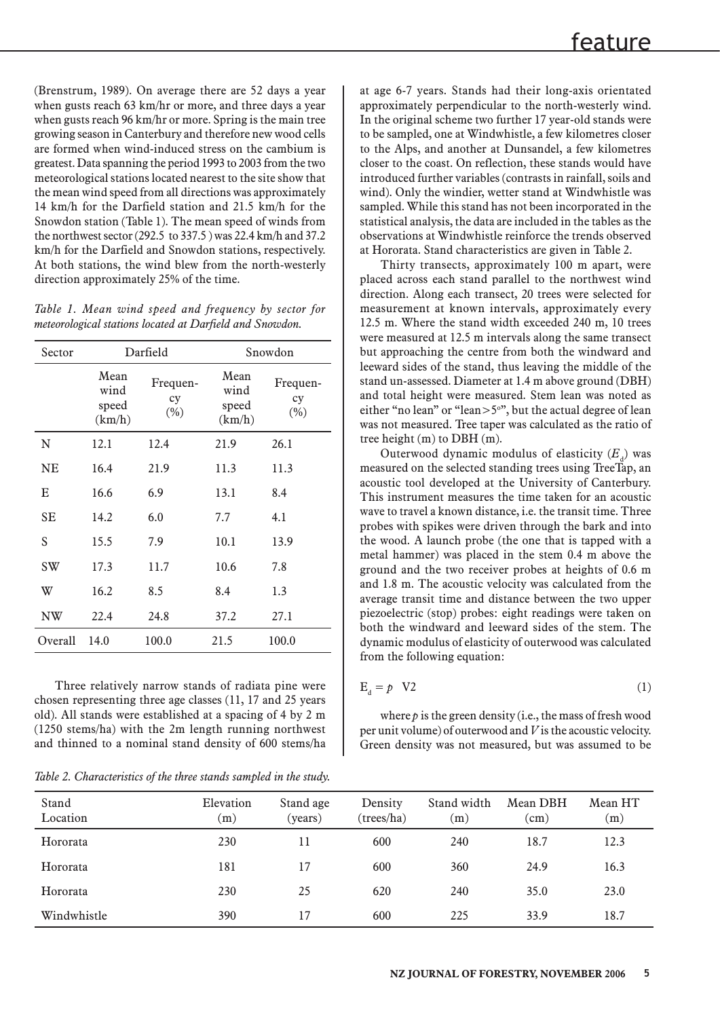(Brenstrum, 1989). On average there are 52 days a year when gusts reach 63 km/hr or more, and three days a year when gusts reach 96 km/hr or more. Spring is the main tree growing season in Canterbury and therefore new wood cells are formed when wind-induced stress on the cambium is greatest. Data spanning the period 1993 to 2003 from the two meteorological stations located nearest to the site show that the mean wind speed from all directions was approximately 14 km/h for the Darfield station and 21.5 km/h for the Snowdon station (Table 1). The mean speed of winds from the northwest sector (292.5 to 337.5 ) was 22.4 km/h and 37.2 km/h for the Darfield and Snowdon stations, respectively. At both stations, the wind blew from the north-westerly direction approximately 25% of the time.

|  |  |  | Table 1. Mean wind speed and frequency by sector for     |  |  |
|--|--|--|----------------------------------------------------------|--|--|
|  |  |  | meteorological stations located at Darfield and Snowdon. |  |  |

| Sector    |                                 | Darfield                 | Snowdon                         |                           |  |
|-----------|---------------------------------|--------------------------|---------------------------------|---------------------------|--|
|           | Mean<br>wind<br>speed<br>(km/h) | Frequen-<br>cy<br>$(\%)$ | Mean<br>wind<br>speed<br>(km/h) | Frequen-<br>cy<br>$(\% )$ |  |
| N         | 12.1                            | 12.4                     | 21.9                            | 26.1                      |  |
| NE        | 16.4                            | 21.9                     | 11.3                            | 11.3                      |  |
| E         | 16.6                            | 6.9                      | 13.1                            | 8.4                       |  |
| <b>SE</b> | 14.2                            | 6.0                      | 7.7                             | 4.1                       |  |
| S         | 15.5                            | 7.9                      | 10.1                            | 13.9                      |  |
| <b>SW</b> | 17.3                            | 11.7                     | 10.6                            | 7.8                       |  |
| W         | 16.2                            | 8.5                      | 8.4                             | 1.3                       |  |
| NW        | 22.4                            | 24.8                     | 37.2                            | 27.1                      |  |
| Overall   | 14.0                            | 100.0                    | 21.5                            | 100.0                     |  |

Three relatively narrow stands of radiata pine were chosen representing three age classes (11, 17 and 25 years old). All stands were established at a spacing of 4 by 2 m (1250 stems/ha) with the 2m length running northwest and thinned to a nominal stand density of 600 stems/ha

*Table 2. Characteristics of the three stands sampled in the study.*

at age 6-7 years. Stands had their long-axis orientated approximately perpendicular to the north-westerly wind. In the original scheme two further 17 year-old stands were to be sampled, one at Windwhistle, a few kilometres closer to the Alps, and another at Dunsandel, a few kilometres closer to the coast. On reflection, these stands would have introduced further variables (contrasts in rainfall, soils and wind). Only the windier, wetter stand at Windwhistle was sampled. While this stand has not been incorporated in the statistical analysis, the data are included in the tables as the observations at Windwhistle reinforce the trends observed at Hororata. Stand characteristics are given in Table 2.

Thirty transects, approximately 100 m apart, were placed across each stand parallel to the northwest wind direction. Along each transect, 20 trees were selected for measurement at known intervals, approximately every 12.5 m. Where the stand width exceeded 240 m, 10 trees were measured at 12.5 m intervals along the same transect but approaching the centre from both the windward and leeward sides of the stand, thus leaving the middle of the stand un-assessed. Diameter at 1.4 m above ground (DBH) and total height were measured. Stem lean was noted as either "no lean" or "lean $>5^\circ$ ", but the actual degree of lean was not measured. Tree taper was calculated as the ratio of tree height (m) to DBH (m).

Outerwood dynamic modulus of elasticity  $(E_d)$  was measured on the selected standing trees using TreeTap, an acoustic tool developed at the University of Canterbury. This instrument measures the time taken for an acoustic wave to travel a known distance, i.e. the transit time. Three probes with spikes were driven through the bark and into the wood. A launch probe (the one that is tapped with a metal hammer) was placed in the stem 0.4 m above the ground and the two receiver probes at heights of 0.6 m and 1.8 m. The acoustic velocity was calculated from the average transit time and distance between the two upper piezoelectric (stop) probes: eight readings were taken on both the windward and leeward sides of the stem. The dynamic modulus of elasticity of outerwood was calculated from the following equation:

$$
E_{d} = p \quad V2 \tag{1}
$$

where  $p$  is the green density (*i.e.*, the mass of fresh wood per unit volume) of outerwood and *V* is the acoustic velocity. Green density was not measured, but was assumed to be

| Stand<br>Location | Elevation<br>(m) | Stand age<br>(years) | Density<br>(trees/ha) | Stand width<br>(m) | Mean DBH<br>$\rm (cm)$ | Mean HT<br>(m) |
|-------------------|------------------|----------------------|-----------------------|--------------------|------------------------|----------------|
| Hororata          | 230              | 11                   | 600                   | 240                | 18.7                   | 12.3           |
| Hororata          | 181              | 17                   | 600                   | 360                | 24.9                   | 16.3           |
| Hororata          | 230              | 25                   | 620                   | 240                | 35.0                   | 23.0           |
| Windwhistle       | 390              | 17                   | 600                   | 225                | 33.9                   | 18.7           |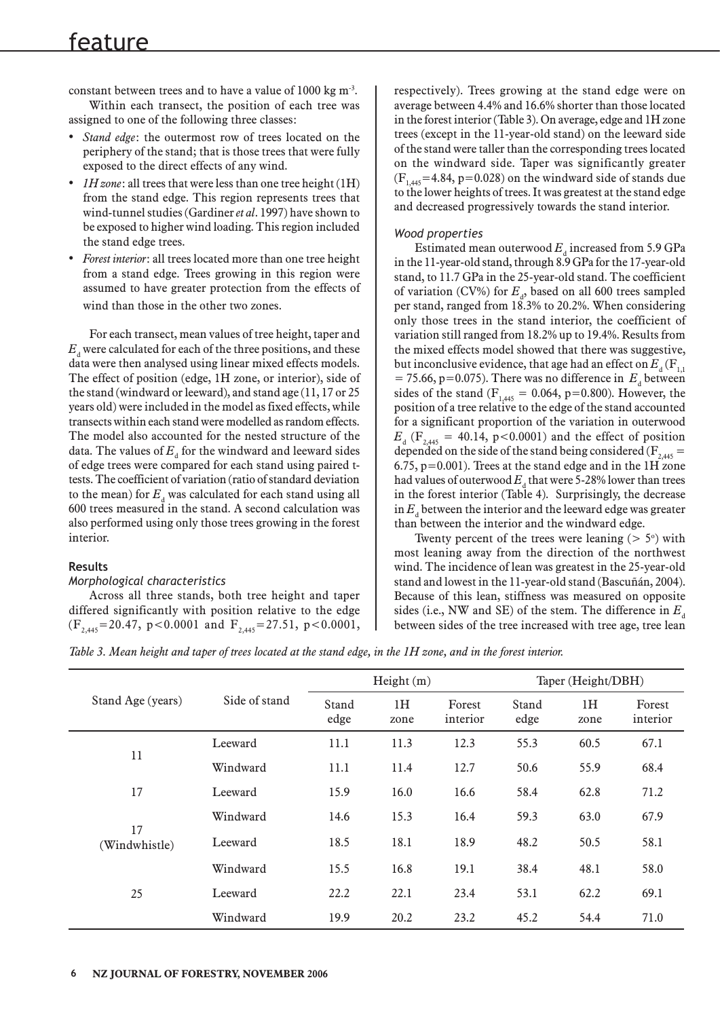constant between trees and to have a value of 1000 kg m-3. Within each transect, the position of each tree was

assigned to one of the following three classes:

- *Stand edge*: the outermost row of trees located on the periphery of the stand; that is those trees that were fully exposed to the direct effects of any wind.
- *IH zone*: all trees that were less than one tree height (1H) from the stand edge. This region represents trees that wind-tunnel studies (Gardiner *et al*. 1997) have shown to be exposed to higher wind loading. This region included the stand edge trees.
- *Forest interior*: all trees located more than one tree height from a stand edge. Trees growing in this region were assumed to have greater protection from the effects of wind than those in the other two zones.

For each transect, mean values of tree height, taper and  $E_{_{\rm d}}$  were calculated for each of the three positions, and these data were then analysed using linear mixed effects models. The effect of position (edge, 1H zone, or interior), side of the stand (windward or leeward), and stand age (11, 17 or 25 years old) were included in the model as fixed effects, while transects within each stand were modelled as random effects. The model also accounted for the nested structure of the data. The values of  $E_{\rm d}$  for the windward and leeward sides of edge trees were compared for each stand using paired ttests. The coefficient of variation (ratio of standard deviation to the mean) for  $E_{\rm d}$  was calculated for each stand using all 600 trees measured in the stand. A second calculation was also performed using only those trees growing in the forest interior.

# **Results**

# *Morphological characteristics*

Across all three stands, both tree height and taper differed significantly with position relative to the edge  $(F_{2,445}=20.47, p<0.0001$  and  $F_{2,445}=27.51, p<0.0001,$  respectively). Trees growing at the stand edge were on average between 4.4% and 16.6% shorter than those located in the forest interior (Table 3). On average, edge and 1H zone trees (except in the 11-year-old stand) on the leeward side of the stand were taller than the corresponding trees located on the windward side. Taper was significantly greater  $(F<sub>1.445</sub>=4.84, p=0.028)$  on the windward side of stands due to the lower heights of trees. It was greatest at the stand edge and decreased progressively towards the stand interior.

# *Wood properties*

Estimated mean outerwood  $E_d$  increased from 5.9 GPa in the 11-year-old stand, through 8.9 GPa for the 17-year-old stand, to 11.7 GPa in the 25-year-old stand. The coefficient of variation (CV%) for  $E_d$ , based on all 600 trees sampled per stand, ranged from 18.3% to 20.2%. When considering only those trees in the stand interior, the coefficient of variation still ranged from 18.2% up to 19.4%. Results from the mixed effects model showed that there was suggestive, but inconclusive evidence, that age had an effect on  $E_{_{\rm d}}(\rm F_{_{1,1}}$  $= 75.66$ , p=0.075). There was no difference in  $E_d$  between sides of the stand ( $F_{1,445} = 0.064$ , p=0.800). However, the position of a tree relative to the edge of the stand accounted for a significant proportion of the variation in outerwood  $E_{d}$  (F<sub>2,445</sub> = 40.14, p<0.0001) and the effect of position depended on the side of the stand being considered ( $F_{2,445}$  = 6.75, p=0.001). Trees at the stand edge and in the 1H zone had values of outerwood  $E_{\rm d}$  that were 5-28% lower than trees in the forest interior (Table 4). Surprisingly, the decrease in  $E_{\rm d}$  between the interior and the leeward edge was greater than between the interior and the windward edge.

Twenty percent of the trees were leaning  $($  > 5 $\degree$ ) with most leaning away from the direction of the northwest wind. The incidence of lean was greatest in the 25-year-old stand and lowest in the 11-year-old stand (Bascuñán, 2004). Because of this lean, stiffness was measured on opposite sides (i.e., NW and SE) of the stem. The difference in  $E<sub>a</sub>$ between sides of the tree increased with tree age, tree lean

*Table 3. Mean height and taper of trees located at the stand edge, in the 1H zone, and in the forest interior.*

|                     |               |               | Height(m)  |                    | Taper (Height/DBH) |            |                    |
|---------------------|---------------|---------------|------------|--------------------|--------------------|------------|--------------------|
| Stand Age (years)   | Side of stand | Stand<br>edge | 1H<br>zone | Forest<br>interior | Stand<br>edge      | 1H<br>zone | Forest<br>interior |
|                     | Leeward       | 11.1          | 11.3       | 12.3               | 55.3               | 60.5       | 67.1               |
| 11                  | Windward      | 11.1          | 11.4       | 12.7               | 50.6               | 55.9       | 68.4               |
| 17                  | Leeward       | 15.9          | 16.0       | 16.6               | 58.4               | 62.8       | 71.2               |
|                     | Windward      | 14.6          | 15.3       | 16.4               | 59.3               | 63.0       | 67.9               |
| 17<br>(Windwhistle) | Leeward       | 18.5          | 18.1       | 18.9               | 48.2               | 50.5       | 58.1               |
|                     | Windward      | 15.5          | 16.8       | 19.1               | 38.4               | 48.1       | 58.0               |
| 25                  | Leeward       | 22.2          | 22.1       | 23.4               | 53.1               | 62.2       | 69.1               |
|                     | Windward      | 19.9          | 20.2       | 23.2               | 45.2               | 54.4       | 71.0               |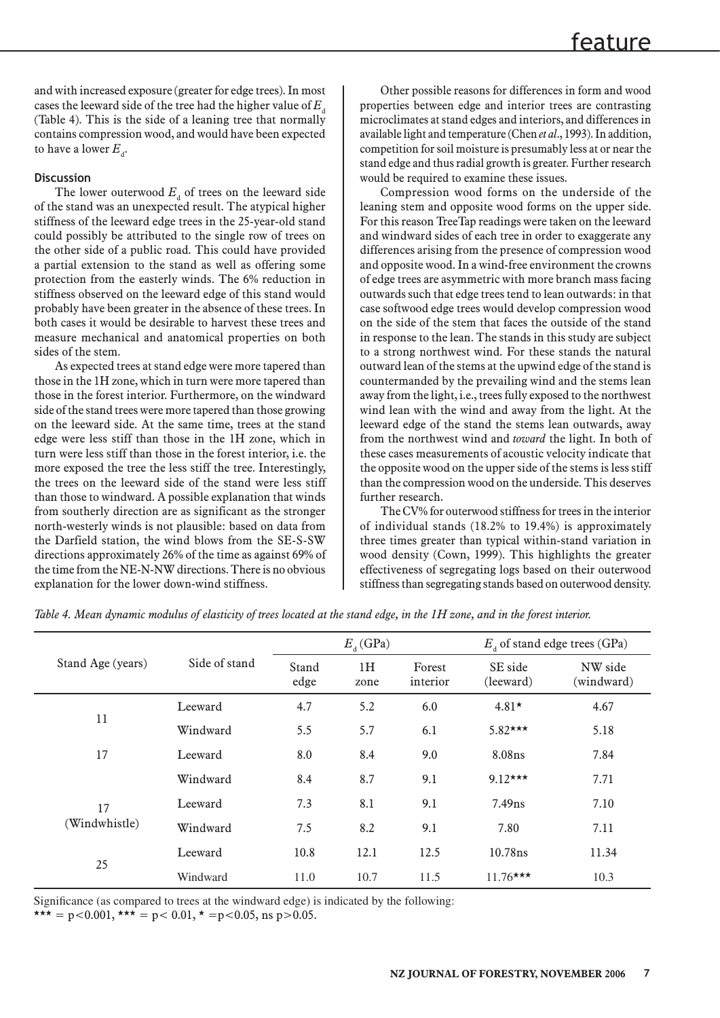and with increased exposure (greater for edge trees). In most cases the leeward side of the tree had the higher value of  $E_d$ (Table 4). This is the side of a leaning tree that normally contains compression wood, and would have been expected to have a lower  $E_{\rm d}$ .

### **Discussion**

The lower outerwood  $E_d$  of trees on the leeward side of the stand was an unexpected result. The atypical higher stiffness of the leeward edge trees in the 25-year-old stand could possibly be attributed to the single row of trees on the other side of a public road. This could have provided a partial extension to the stand as well as offering some protection from the easterly winds. The 6% reduction in stiffness observed on the leeward edge of this stand would probably have been greater in the absence of these trees. In both cases it would be desirable to harvest these trees and measure mechanical and anatomical properties on both sides of the stem.

As expected trees at stand edge were more tapered than those in the 1H zone, which in turn were more tapered than those in the forest interior. Furthermore, on the windward side of the stand trees were more tapered than those growing on the leeward side. At the same time, trees at the stand edge were less stiff than those in the 1H zone, which in turn were less stiff than those in the forest interior, i.e. the more exposed the tree the less stiff the tree. Interestingly, the trees on the leeward side of the stand were less stiff than those to windward. A possible explanation that winds from southerly direction are as significant as the stronger north-westerly winds is not plausible: based on data from the Darfield station, the wind blows from the SE-S-SW directions approximately 26% of the time as against 69% of the time from the NE-N-NW directions. There is no obvious explanation for the lower down-wind stiffness.

Other possible reasons for differences in form and wood properties between edge and interior trees are contrasting microclimates at stand edges and interiors, and differences in available light and temperature (Chen *et al*., 1993). In addition, competition for soil moisture is presumably less at or near the stand edge and thus radial growth is greater. Further research would be required to examine these issues.

Compression wood forms on the underside of the leaning stem and opposite wood forms on the upper side. For this reason TreeTap readings were taken on the leeward and windward sides of each tree in order to exaggerate any differences arising from the presence of compression wood and opposite wood. In a wind-free environment the crowns of edge trees are asymmetric with more branch mass facing outwards such that edge trees tend to lean outwards: in that case softwood edge trees would develop compression wood on the side of the stem that faces the outside of the stand in response to the lean. The stands in this study are subject to a strong northwest wind. For these stands the natural outward lean of the stems at the upwind edge of the stand is countermanded by the prevailing wind and the stems lean away from the light, i.e., trees fully exposed to the northwest wind lean with the wind and away from the light. At the leeward edge of the stand the stems lean outwards, away from the northwest wind and *toward* the light. In both of these cases measurements of acoustic velocity indicate that the opposite wood on the upper side of the stems is less stiff than the compression wood on the underside. This deserves further research.

The CV% for outerwood stiffness for trees in the interior of individual stands (18.2% to 19.4%) is approximately three times greater than typical within-stand variation in wood density (Cown, 1999). This highlights the greater effectiveness of segregating logs based on their outerwood stiffness than segregating stands based on outerwood density.

|                   |               |               | $E_{\rm A}$ (GPa) |                    | $E_{A}$ of stand edge trees (GPa) |                       |  |
|-------------------|---------------|---------------|-------------------|--------------------|-----------------------------------|-----------------------|--|
| Stand Age (years) | Side of stand | Stand<br>edge | 1H<br>zone        | Forest<br>interior | SE side<br>(leeward)              | NW side<br>(windward) |  |
|                   | Leeward       | 4.7           | 5.2               | 6.0                | $4.81*$                           | 4.67                  |  |
| 11                | Windward      | 5.5           | 5.7               | 6.1                | $5.82***$                         | 5.18                  |  |
| 17                | Leeward       | 8.0           | 8.4               | 9.0                | 8.08ns                            | 7.84                  |  |
|                   | Windward      | 8.4           | 8.7               | 9.1                | $9.12***$                         | 7.71                  |  |
| 17                | Leeward       | 7.3           | 8.1               | 9.1                | $7.49$ ns                         | 7.10                  |  |
| (Windwhistle)     | Windward      | 7.5           | 8.2               | 9.1                | 7.80                              | 7.11                  |  |
|                   | Leeward       | 10.8          | 12.1              | 12.5               | $10.78$ ns                        | 11.34                 |  |
| 25                | Windward      | 11.0          | 10.7              | 11.5               | $11.76***$                        | 10.3                  |  |

*Table 4. Mean dynamic modulus of elasticity of trees located at the stand edge, in the 1H zone, and in the forest interior.*

Significance (as compared to trees at the windward edge) is indicated by the following:

\*\*\* = p<0.001, \*\*\* = p< 0.01, \* = p<0.05, ns p>0.05.